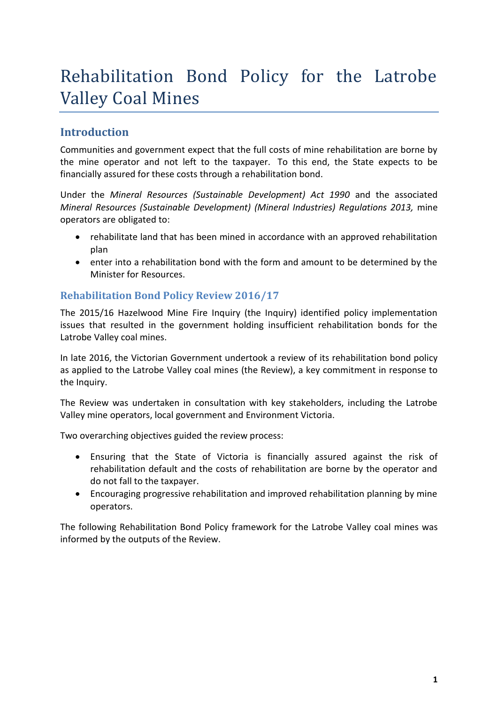# Rehabilitation Bond Policy for the Latrobe Valley Coal Mines

## **Introduction**

Communities and government expect that the full costs of mine rehabilitation are borne by the mine operator and not left to the taxpayer. To this end, the State expects to be financially assured for these costs through a rehabilitation bond.

Under the *Mineral Resources (Sustainable Development) Act 1990* and the associated *Mineral Resources (Sustainable Development) (Mineral Industries) Regulations 2013,* mine operators are obligated to:

- rehabilitate land that has been mined in accordance with an approved rehabilitation plan
- enter into a rehabilitation bond with the form and amount to be determined by the Minister for Resources.

#### **Rehabilitation Bond Policy Review 2016/17**

The 2015/16 Hazelwood Mine Fire Inquiry (the Inquiry) identified policy implementation issues that resulted in the government holding insufficient rehabilitation bonds for the Latrobe Valley coal mines.

In late 2016, the Victorian Government undertook a review of its rehabilitation bond policy as applied to the Latrobe Valley coal mines (the Review), a key commitment in response to the Inquiry.

The Review was undertaken in consultation with key stakeholders, including the Latrobe Valley mine operators, local government and Environment Victoria.

Two overarching objectives guided the review process:

- Ensuring that the State of Victoria is financially assured against the risk of rehabilitation default and the costs of rehabilitation are borne by the operator and do not fall to the taxpayer.
- Encouraging progressive rehabilitation and improved rehabilitation planning by mine operators.

The following Rehabilitation Bond Policy framework for the Latrobe Valley coal mines was informed by the outputs of the Review.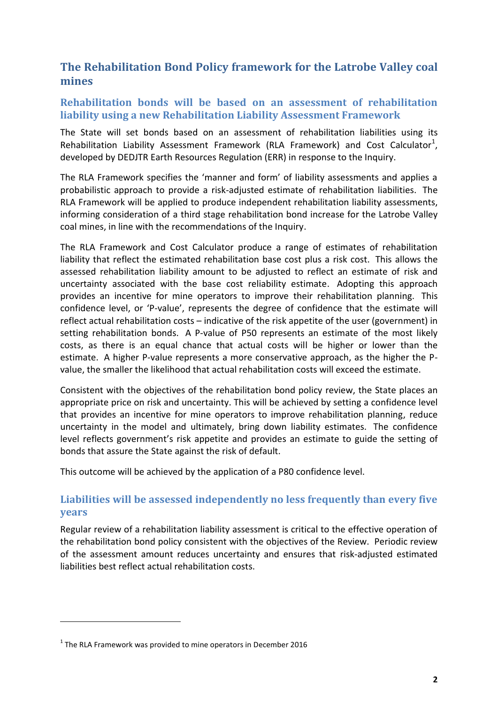## **The Rehabilitation Bond Policy framework for the Latrobe Valley coal mines**

#### **Rehabilitation bonds will be based on an assessment of rehabilitation liability using a new Rehabilitation Liability Assessment Framework**

The State will set bonds based on an assessment of rehabilitation liabilities using its Rehabilitation Liability Assessment Framework (RLA Framework) and Cost Calculator<sup>1</sup>, developed by DEDJTR Earth Resources Regulation (ERR) in response to the Inquiry.

The RLA Framework specifies the 'manner and form' of liability assessments and applies a probabilistic approach to provide a risk-adjusted estimate of rehabilitation liabilities. The RLA Framework will be applied to produce independent rehabilitation liability assessments, informing consideration of a third stage rehabilitation bond increase for the Latrobe Valley coal mines, in line with the recommendations of the Inquiry.

The RLA Framework and Cost Calculator produce a range of estimates of rehabilitation liability that reflect the estimated rehabilitation base cost plus a risk cost. This allows the assessed rehabilitation liability amount to be adjusted to reflect an estimate of risk and uncertainty associated with the base cost reliability estimate. Adopting this approach provides an incentive for mine operators to improve their rehabilitation planning. This confidence level, or 'P-value', represents the degree of confidence that the estimate will reflect actual rehabilitation costs – indicative of the risk appetite of the user (government) in setting rehabilitation bonds. A P-value of P50 represents an estimate of the most likely costs, as there is an equal chance that actual costs will be higher or lower than the estimate. A higher P-value represents a more conservative approach, as the higher the Pvalue, the smaller the likelihood that actual rehabilitation costs will exceed the estimate.

Consistent with the objectives of the rehabilitation bond policy review, the State places an appropriate price on risk and uncertainty. This will be achieved by setting a confidence level that provides an incentive for mine operators to improve rehabilitation planning, reduce uncertainty in the model and ultimately, bring down liability estimates. The confidence level reflects government's risk appetite and provides an estimate to guide the setting of bonds that assure the State against the risk of default.

This outcome will be achieved by the application of a P80 confidence level.

#### **Liabilities will be assessed independently no less frequently than every five years**

Regular review of a rehabilitation liability assessment is critical to the effective operation of the rehabilitation bond policy consistent with the objectives of the Review. Periodic review of the assessment amount reduces uncertainty and ensures that risk-adjusted estimated liabilities best reflect actual rehabilitation costs.

1

 $<sup>1</sup>$  The RLA Framework was provided to mine operators in December 2016</sup>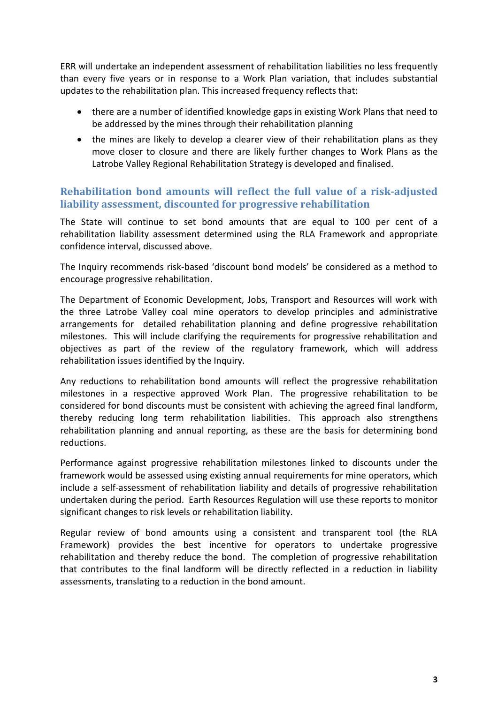ERR will undertake an independent assessment of rehabilitation liabilities no less frequently than every five years or in response to a Work Plan variation, that includes substantial updates to the rehabilitation plan. This increased frequency reflects that:

- there are a number of identified knowledge gaps in existing Work Plans that need to be addressed by the mines through their rehabilitation planning
- the mines are likely to develop a clearer view of their rehabilitation plans as they move closer to closure and there are likely further changes to Work Plans as the Latrobe Valley Regional Rehabilitation Strategy is developed and finalised.

#### **Rehabilitation bond amounts will reflect the full value of a risk-adjusted liability assessment, discounted for progressive rehabilitation**

The State will continue to set bond amounts that are equal to 100 per cent of a rehabilitation liability assessment determined using the RLA Framework and appropriate confidence interval, discussed above.

The Inquiry recommends risk-based 'discount bond models' be considered as a method to encourage progressive rehabilitation.

The Department of Economic Development, Jobs, Transport and Resources will work with the three Latrobe Valley coal mine operators to develop principles and administrative arrangements for detailed rehabilitation planning and define progressive rehabilitation milestones. This will include clarifying the requirements for progressive rehabilitation and objectives as part of the review of the regulatory framework, which will address rehabilitation issues identified by the Inquiry.

Any reductions to rehabilitation bond amounts will reflect the progressive rehabilitation milestones in a respective approved Work Plan. The progressive rehabilitation to be considered for bond discounts must be consistent with achieving the agreed final landform, thereby reducing long term rehabilitation liabilities. This approach also strengthens rehabilitation planning and annual reporting, as these are the basis for determining bond reductions.

Performance against progressive rehabilitation milestones linked to discounts under the framework would be assessed using existing annual requirements for mine operators, which include a self-assessment of rehabilitation liability and details of progressive rehabilitation undertaken during the period. Earth Resources Regulation will use these reports to monitor significant changes to risk levels or rehabilitation liability.

Regular review of bond amounts using a consistent and transparent tool (the RLA Framework) provides the best incentive for operators to undertake progressive rehabilitation and thereby reduce the bond. The completion of progressive rehabilitation that contributes to the final landform will be directly reflected in a reduction in liability assessments, translating to a reduction in the bond amount.